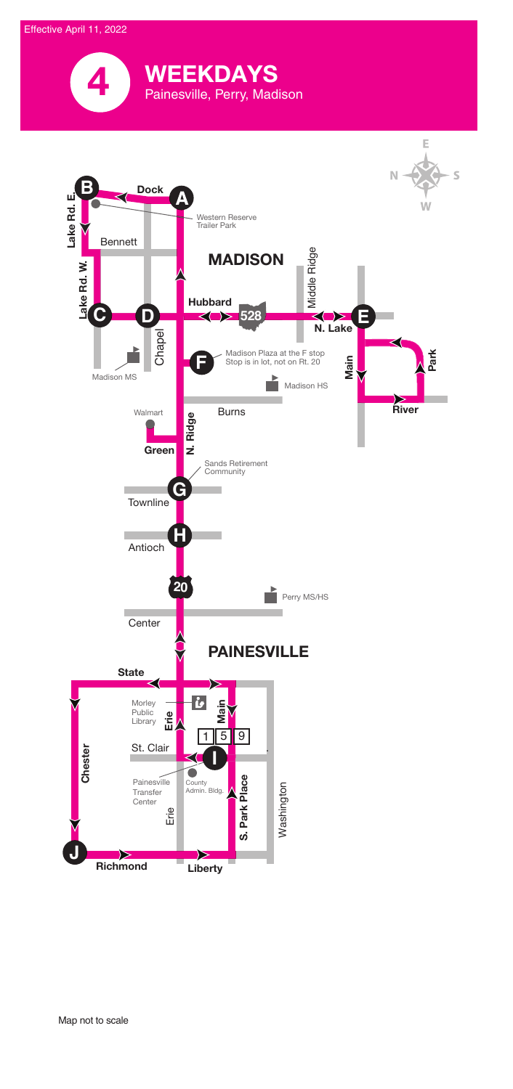